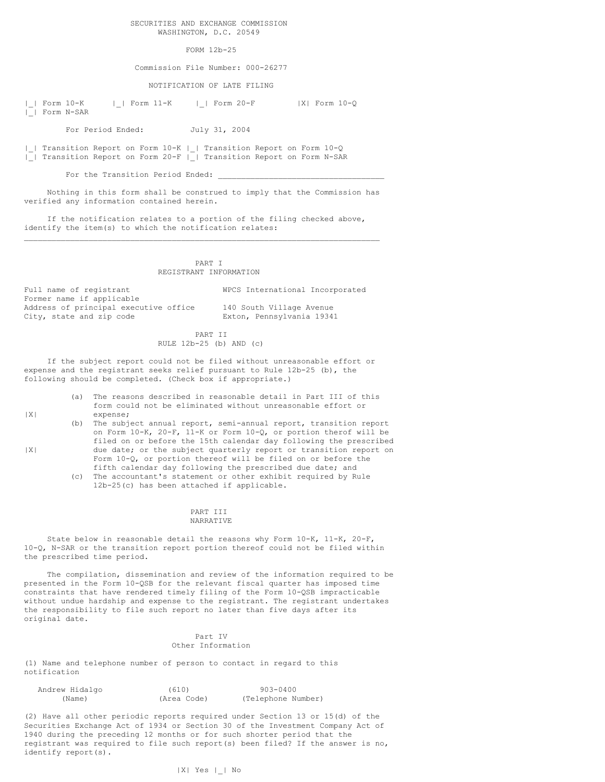## SECURITIES AND EXCHANGE COMMISSION WASHINGTON, D.C. 20549

# FORM 12b-25

Commission File Number: 000-26277

NOTIFICATION OF LATE FILING

|\_| Form 10-K |\_| Form 11-K |\_| Form 20-F |X| Form 10-Q |\_| Form N-SAR

For Period Ended: July 31, 2004

|\_| Transition Report on Form 10-K |\_| Transition Report on Form 10-Q |\_| Transition Report on Form 20-F |\_| Transition Report on Form N-SAR

For the Transition Period Ended:

Nothing in this form shall be construed to imply that the Commission has verified any information contained herein.

 $\mathcal{L}_\mathcal{L} = \mathcal{L}_\mathcal{L} = \mathcal{L}_\mathcal{L} = \mathcal{L}_\mathcal{L} = \mathcal{L}_\mathcal{L} = \mathcal{L}_\mathcal{L} = \mathcal{L}_\mathcal{L} = \mathcal{L}_\mathcal{L} = \mathcal{L}_\mathcal{L} = \mathcal{L}_\mathcal{L} = \mathcal{L}_\mathcal{L} = \mathcal{L}_\mathcal{L} = \mathcal{L}_\mathcal{L} = \mathcal{L}_\mathcal{L} = \mathcal{L}_\mathcal{L} = \mathcal{L}_\mathcal{L} = \mathcal{L}_\mathcal{L}$ 

If the notification relates to a portion of the filing checked above, identify the item(s) to which the notification relates:

> PART I REGISTRANT INFORMATION

Full name of registrant WPCS International Incorporated Former name if applicable Address of principal executive office 140 South Village Avenue City, state and zip code Exton, Pennsylvania 19341

PART II RULE 12b-25 (b) AND (c)

If the subject report could not be filed without unreasonable effort or expense and the registrant seeks relief pursuant to Rule 12b-25 (b), the following should be completed. (Check box if appropriate.)

- (a) The reasons described in reasonable detail in Part III of this form could not be eliminated without unreasonable effort or |X| expense;
- (b) The subject annual report, semi-annual report, transition report on Form 10-K, 20-F, 11-K or Form 10-Q, or portion therof will be filed on or before the 15th calendar day following the prescribed |X| due date; or the subject quarterly report or transition report on Form 10-Q, or portion thereof will be filed on or before the
	- fifth calendar day following the prescribed due date; and (c) The accountant's statement or other exhibit required by Rule 12b-25(c) has been attached if applicable.

#### PART TIT NARRATIVE

State below in reasonable detail the reasons why Form 10-K, 11-K, 20-F, 10-Q, N-SAR or the transition report portion thereof could not be filed within the prescribed time period.

The compilation, dissemination and review of the information required to be presented in the Form 10-QSB for the relevant fiscal quarter has imposed time constraints that have rendered timely filing of the Form 10-QSB impracticable without undue hardship and expense to the registrant. The registrant undertakes the responsibility to file such report no later than five days after its original date.

## Part IV Other Information

(1) Name and telephone number of person to contact in regard to this notification

| Andrew Hidalgo | (610)       | 903-0400           |
|----------------|-------------|--------------------|
| (Name)         | (Area Code) | (Telephone Number) |

(2) Have all other periodic reports required under Section 13 or 15(d) of the Securities Exchange Act of 1934 or Section 30 of the Investment Company Act of 1940 during the preceding 12 months or for such shorter period that the registrant was required to file such report(s) been filed? If the answer is no, identify report(s).

# |X| Yes |\_| No